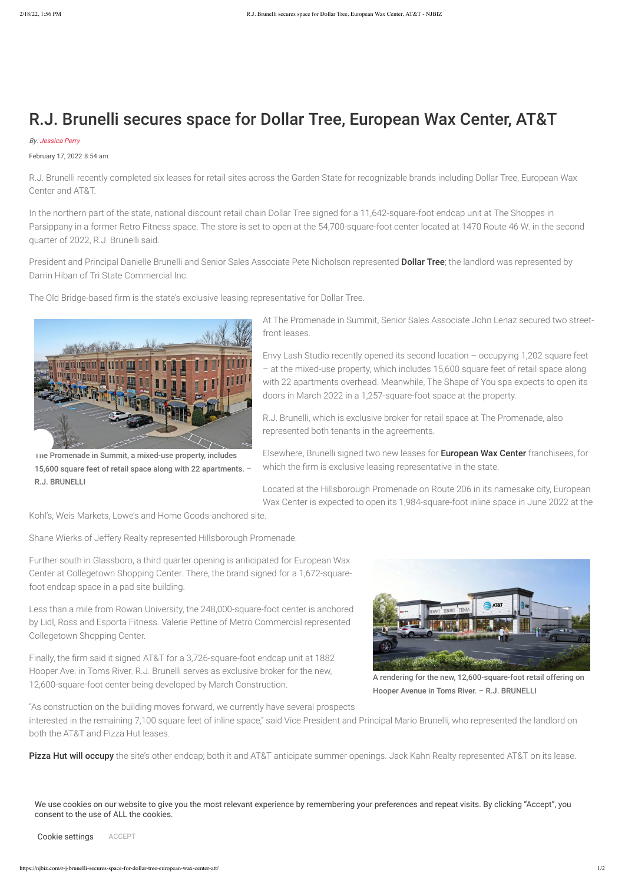

Ine Promenade in Summit, a mixed-use property, includes 15,600 square feet of retail space along with 22 apartments. – R.J. BRUNELLI

A rendering for the new, 12,600-square-foot retail offering on Hooper Avenue in Toms River. – R.J. BRUNELLI

## R.J. Brunelli secures space for Dollar Tree, European Wax Center, AT&T

## By: Jessica Perry

February 17, 2022 8:54 am

President and Principal Danielle Brunelli and Senior Sales Associate Pete Nicholson represented Dollar Tree; the landlord was represented by Darrin Hiban of Tri State Commercial Inc.

R.J. Brunelli recently completed six leases for retail sites across the Garden State for recognizable brands including Dollar Tree, European Wax Center and AT&T.

In the northern part of the state, national discount retail chain Dollar Tree signed for a 11,642-square-foot endcap unit at The Shoppes in Parsippany in a former Retro Fitness space. The store is set to open at the 54,700-square-foot center located at 1470 Route 46 W. in the second quarter of 2022, R.J. Brunelli said.

The Old Bridge-based firm is the state's exclusive leasing representative for Dollar Tree.

At The Promenade in Summit, Senior Sales Associate John Lenaz secured two streetfront leases.

Envy Lash Studio recently opened its second location – occupying 1,202 square feet – at the mixed-use property, which includes 15,600 square feet of retail space along with 22 apartments overhead. Meanwhile, The Shape of You spa expects to open its doors in March 2022 in a 1,257-square-foot space at the property.

R.J. Brunelli, which is exclusive broker for retail space at The Promenade, also represented both tenants in the agreements.

Elsewhere, Brunelli signed two new leases for European Wax Center franchisees, for which the firm is exclusive leasing representative in the state.

Located at the Hillsborough Promenade on Route 206 in its namesake city, European Wax Center is expected to open its 1,984-square-foot inline space in June 2022 at the

Kohl's, Weis Markets, Lowe's and Home Goods-anchored site.

Shane Wierks of Jeffery Realty represented Hillsborough Promenade.

Further south in Glassboro, a third quarter opening is anticipated for European Wax Center at Collegetown Shopping Center. There, the brand signed for a 1,672-squarefoot endcap space in a pad site building.

Less than a mile from Rowan University, the 248,000-square-foot center is anchored by Lidl, Ross and Esporta Fitness. Valerie Pettine of Metro Commercial represented Collegetown Shopping Center.

Finally, the firm said it signed AT&T for a 3,726-square-foot endcap unit at 1882



Hooper Ave. in Toms River. R.J. Brunelli serves as exclusive broker for the new, 12,600-square-foot center being developed by March Construction.

"As construction on the building moves forward, we currently have several prospects

interested in the remaining 7,100 square feet of inline space," said Vice President and Principal Mario Brunelli, who represented the landlord on both the AT&T and Pizza Hut leases.

Pizza Hut will occupy the site's other endcap; both it and AT&T anticipate summer openings. Jack Kahn Realty represented AT&T on its lease.

We use cookies on our website to give you the most relevant experience by remembering your preferences and repeat visits. By clicking "Accept", you consent to the use of ALL the cookies.

Cookie settings ACCEPT